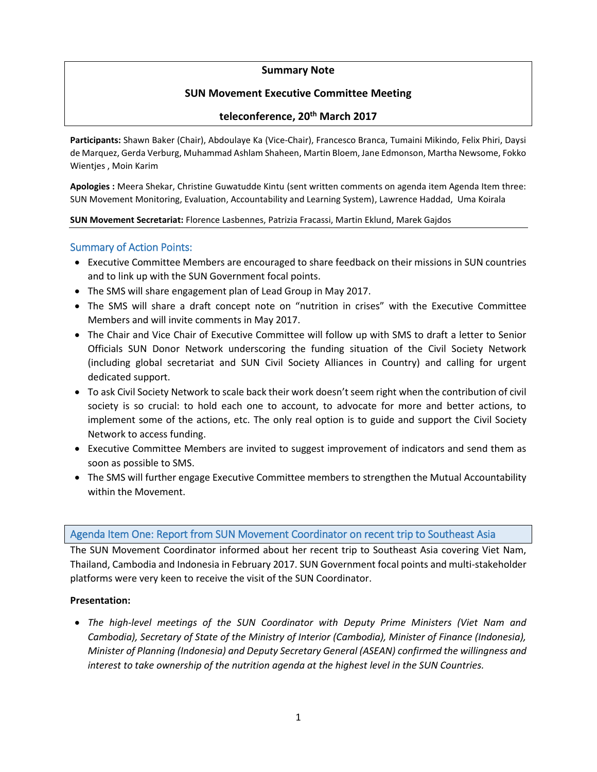### **Summary Note**

# **SUN Movement Executive Committee Meeting**

### **teleconference, 20th March 2017**

**Participants:** Shawn Baker (Chair), Abdoulaye Ka (Vice-Chair), Francesco Branca, Tumaini Mikindo, Felix Phiri, Daysi de Marquez, Gerda Verburg, Muhammad Ashlam Shaheen, Martin Bloem, Jane Edmonson, Martha Newsome, Fokko Wientjes , Moin Karim

**Apologies :** Meera Shekar, Christine Guwatudde Kintu (sent written comments on agenda item Agenda Item three: SUN Movement Monitoring, Evaluation, Accountability and Learning System), Lawrence Haddad, Uma Koirala

#### **SUN Movement Secretariat:** Florence Lasbennes, Patrizia Fracassi, Martin Eklund, Marek Gajdos

### Summary of Action Points:

- Executive Committee Members are encouraged to share feedback on their missions in SUN countries and to link up with the SUN Government focal points.
- The SMS will share engagement plan of Lead Group in May 2017.
- The SMS will share a draft concept note on "nutrition in crises" with the Executive Committee Members and will invite comments in May 2017.
- The Chair and Vice Chair of Executive Committee will follow up with SMS to draft a letter to Senior Officials SUN Donor Network underscoring the funding situation of the Civil Society Network (including global secretariat and SUN Civil Society Alliances in Country) and calling for urgent dedicated support.
- To ask Civil Society Network to scale back their work doesn't seem right when the contribution of civil society is so crucial: to hold each one to account, to advocate for more and better actions, to implement some of the actions, etc. The only real option is to guide and support the Civil Society Network to access funding.
- Executive Committee Members are invited to suggest improvement of indicators and send them as soon as possible to SMS.
- The SMS will further engage Executive Committee members to strengthen the Mutual Accountability within the Movement.

### Agenda Item One: Report from SUN Movement Coordinator on recent trip to Southeast Asia

The SUN Movement Coordinator informed about her recent trip to Southeast Asia covering Viet Nam, Thailand, Cambodia and Indonesia in February 2017. SUN Government focal points and multi-stakeholder platforms were very keen to receive the visit of the SUN Coordinator.

### **Presentation:**

• *The high-level meetings of the SUN Coordinator with Deputy Prime Ministers (Viet Nam and Cambodia), Secretary of State of the Ministry of Interior (Cambodia), Minister of Finance (Indonesia), Minister of Planning (Indonesia) and Deputy Secretary General (ASEAN) confirmed the willingness and interest to take ownership of the nutrition agenda at the highest level in the SUN Countries.*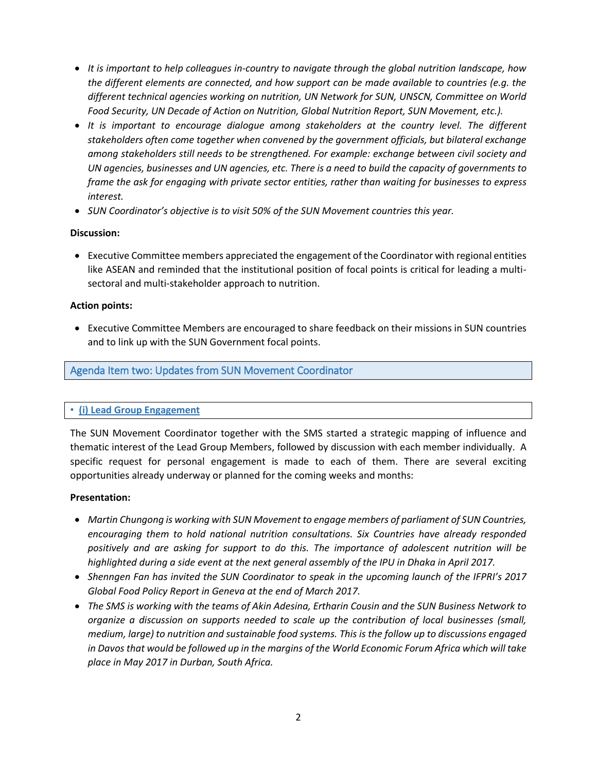- *It is important to help colleagues in-country to navigate through the global nutrition landscape, how the different elements are connected, and how support can be made available to countries (e.g. the different technical agencies working on nutrition, UN Network for SUN, UNSCN, Committee on World Food Security, UN Decade of Action on Nutrition, Global Nutrition Report, SUN Movement, etc.).*
- *It is important to encourage dialogue among stakeholders at the country level. The different stakeholders often come together when convened by the government officials, but bilateral exchange among stakeholders still needs to be strengthened. For example: exchange between civil society and UN agencies, businesses and UN agencies, etc. There is a need to build the capacity of governments to frame the ask for engaging with private sector entities, rather than waiting for businesses to express interest.*
- *SUN Coordinator's objective is to visit 50% of the SUN Movement countries this year.*

### **Discussion:**

• Executive Committee members appreciated the engagement of the Coordinator with regional entities like ASEAN and reminded that the institutional position of focal points is critical for leading a multisectoral and multi-stakeholder approach to nutrition.

### **Action points:**

• Executive Committee Members are encouraged to share feedback on their missions in SUN countries and to link up with the SUN Government focal points.

# Agenda Item two: Updates from SUN Movement Coordinator

### • **(i) Lead Group Engagement**

The SUN Movement Coordinator together with the SMS started a strategic mapping of influence and thematic interest of the Lead Group Members, followed by discussion with each member individually. A specific request for personal engagement is made to each of them. There are several exciting opportunities already underway or planned for the coming weeks and months:

### **Presentation:**

- *Martin Chungong is working with SUN Movement to engage members of parliament of SUN Countries, encouraging them to hold national nutrition consultations. Six Countries have already responded positively and are asking for support to do this. The importance of adolescent nutrition will be highlighted during a side event at the next general assembly of the IPU in Dhaka in April 2017.*
- *Shenngen Fan has invited the SUN Coordinator to speak in the upcoming launch of the IFPRI's 2017 Global Food Policy Report in Geneva at the end of March 2017.*
- *The SMS is working with the teams of Akin Adesina, Ertharin Cousin and the SUN Business Network to organize a discussion on supports needed to scale up the contribution of local businesses (small, medium, large) to nutrition and sustainable food systems. This is the follow up to discussions engaged in Davos that would be followed up in the margins of the World Economic Forum Africa which will take place in May 2017 in Durban, South Africa.*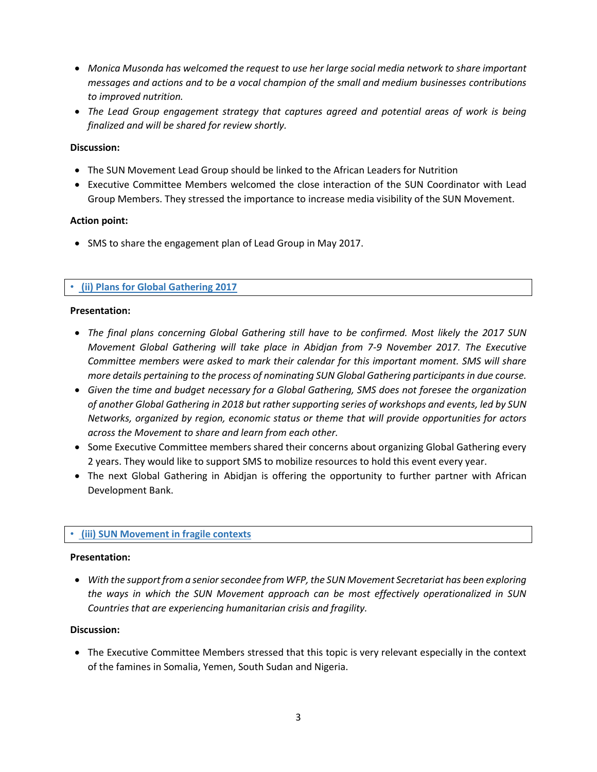- *Monica Musonda has welcomed the request to use her large social media network to share important messages and actions and to be a vocal champion of the small and medium businesses contributions to improved nutrition.*
- *The Lead Group engagement strategy that captures agreed and potential areas of work is being finalized and will be shared for review shortly.*

### **Discussion:**

- The SUN Movement Lead Group should be linked to the African Leaders for Nutrition
- Executive Committee Members welcomed the close interaction of the SUN Coordinator with Lead Group Members. They stressed the importance to increase media visibility of the SUN Movement.

#### **Action point:**

• SMS to share the engagement plan of Lead Group in May 2017.

### • **(ii) Plans for Global Gathering 2017**

#### **Presentation:**

- *The final plans concerning Global Gathering still have to be confirmed. Most likely the 2017 SUN Movement Global Gathering will take place in Abidjan from 7-9 November 2017. The Executive Committee members were asked to mark their calendar for this important moment. SMS will share more details pertaining to the process of nominating SUN Global Gathering participants in due course.*
- *Given the time and budget necessary for a Global Gathering, SMS does not foresee the organization of another Global Gathering in 2018 but rather supporting series of workshops and events, led by SUN Networks, organized by region, economic status or theme that will provide opportunities for actors across the Movement to share and learn from each other.*
- Some Executive Committee members shared their concerns about organizing Global Gathering every 2 years. They would like to support SMS to mobilize resources to hold this event every year.
- The next Global Gathering in Abidjan is offering the opportunity to further partner with African Development Bank.

### • **(iii) SUN Movement in fragile contexts**

#### **Presentation:**

• *With the support from a seniorsecondee from WFP, the SUN Movement Secretariat has been exploring the ways in which the SUN Movement approach can be most effectively operationalized in SUN Countries that are experiencing humanitarian crisis and fragility.* 

#### **Discussion:**

• The Executive Committee Members stressed that this topic is very relevant especially in the context of the famines in Somalia, Yemen, South Sudan and Nigeria.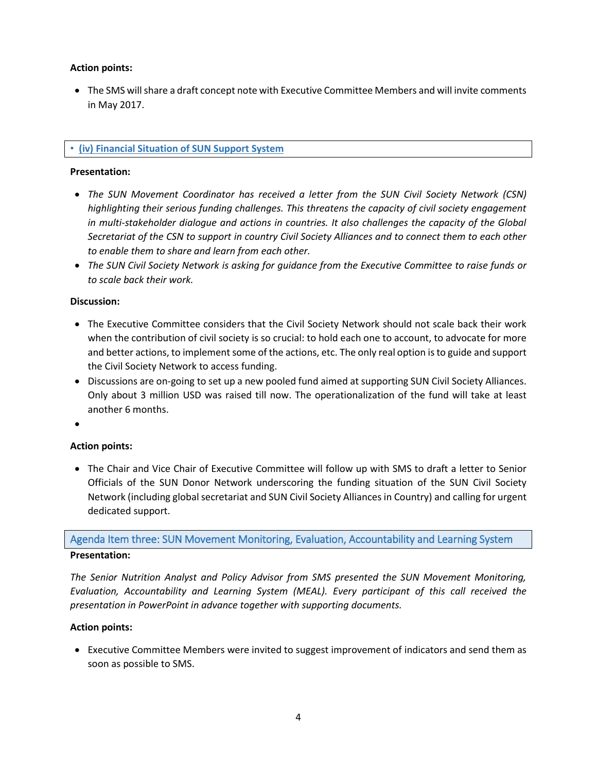### **Action points:**

• The SMS will share a draft concept note with Executive Committee Members and will invite comments in May 2017.

## • **(iv) Financial Situation of SUN Support System**

### **Presentation:**

- *The SUN Movement Coordinator has received a letter from the SUN Civil Society Network (CSN) highlighting their serious funding challenges. This threatens the capacity of civil society engagement in multi-stakeholder dialogue and actions in countries. It also challenges the capacity of the Global Secretariat of the CSN to support in country Civil Society Alliances and to connect them to each other to enable them to share and learn from each other.*
- *The SUN Civil Society Network is asking for guidance from the Executive Committee to raise funds or to scale back their work.*

### **Discussion:**

- The Executive Committee considers that the Civil Society Network should not scale back their work when the contribution of civil society is so crucial: to hold each one to account, to advocate for more and better actions, to implement some of the actions, etc. The only real option is to guide and support the Civil Society Network to access funding.
- Discussions are on-going to set up a new pooled fund aimed at supporting SUN Civil Society Alliances. Only about 3 million USD was raised till now. The operationalization of the fund will take at least another 6 months.
- •

### **Action points:**

• The Chair and Vice Chair of Executive Committee will follow up with SMS to draft a letter to Senior Officials of the SUN Donor Network underscoring the funding situation of the SUN Civil Society Network (including global secretariat and SUN Civil Society Alliances in Country) and calling for urgent dedicated support.

Agenda Item three: SUN Movement Monitoring, Evaluation, Accountability and Learning System

### **Presentation:**

*The Senior Nutrition Analyst and Policy Advisor from SMS presented the SUN Movement Monitoring, Evaluation, Accountability and Learning System (MEAL). Every participant of this call received the presentation in PowerPoint in advance together with supporting documents.* 

### **Action points:**

• Executive Committee Members were invited to suggest improvement of indicators and send them as soon as possible to SMS.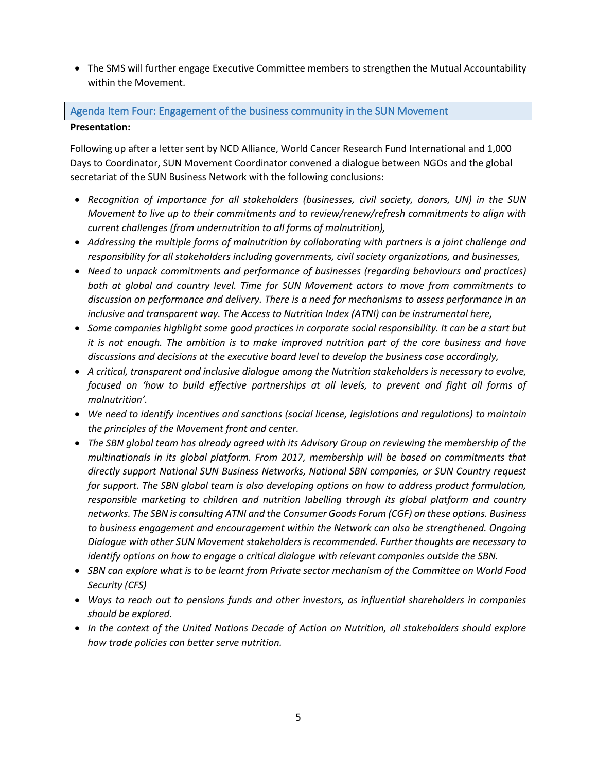• The SMS will further engage Executive Committee members to strengthen the Mutual Accountability within the Movement.

# Agenda Item Four: Engagement of the business community in the SUN Movement **Presentation:**

Following up after a letter sent by NCD Alliance, World Cancer Research Fund International and 1,000 Days to Coordinator, SUN Movement Coordinator convened a dialogue between NGOs and the global secretariat of the SUN Business Network with the following conclusions:

- *Recognition of importance for all stakeholders (businesses, civil society, donors, UN) in the SUN Movement to live up to their commitments and to review/renew/refresh commitments to align with current challenges (from undernutrition to all forms of malnutrition),*
- *Addressing the multiple forms of malnutrition by collaborating with partners is a joint challenge and responsibility for all stakeholders including governments, civil society organizations, and businesses,*
- *Need to unpack commitments and performance of businesses (regarding behaviours and practices) both at global and country level. Time for SUN Movement actors to move from commitments to discussion on performance and delivery. There is a need for mechanisms to assess performance in an inclusive and transparent way. The Access to Nutrition Index (ATNI) can be instrumental here,*
- *Some companies highlight some good practices in corporate social responsibility. It can be a start but it is not enough. The ambition is to make improved nutrition part of the core business and have discussions and decisions at the executive board level to develop the business case accordingly,*
- *A critical, transparent and inclusive dialogue among the Nutrition stakeholders is necessary to evolve, focused on 'how to build effective partnerships at all levels, to prevent and fight all forms of malnutrition'.*
- *We need to identify incentives and sanctions (social license, legislations and regulations) to maintain the principles of the Movement front and center.*
- *The SBN global team has already agreed with its Advisory Group on reviewing the membership of the multinationals in its global platform. From 2017, membership will be based on commitments that directly support National SUN Business Networks, National SBN companies, or SUN Country request for support. The SBN global team is also developing options on how to address product formulation, responsible marketing to children and nutrition labelling through its global platform and country networks. The SBN is consulting ATNI and the Consumer Goods Forum (CGF) on these options. Business to business engagement and encouragement within the Network can also be strengthened. Ongoing Dialogue with other SUN Movement stakeholders is recommended. Further thoughts are necessary to identify options on how to engage a critical dialogue with relevant companies outside the SBN.*
- *SBN can explore what is to be learnt from Private sector mechanism of the Committee on World Food Security (CFS)*
- *Ways to reach out to pensions funds and other investors, as influential shareholders in companies should be explored.*
- *In the context of the United Nations Decade of Action on Nutrition, all stakeholders should explore how trade policies can better serve nutrition.*